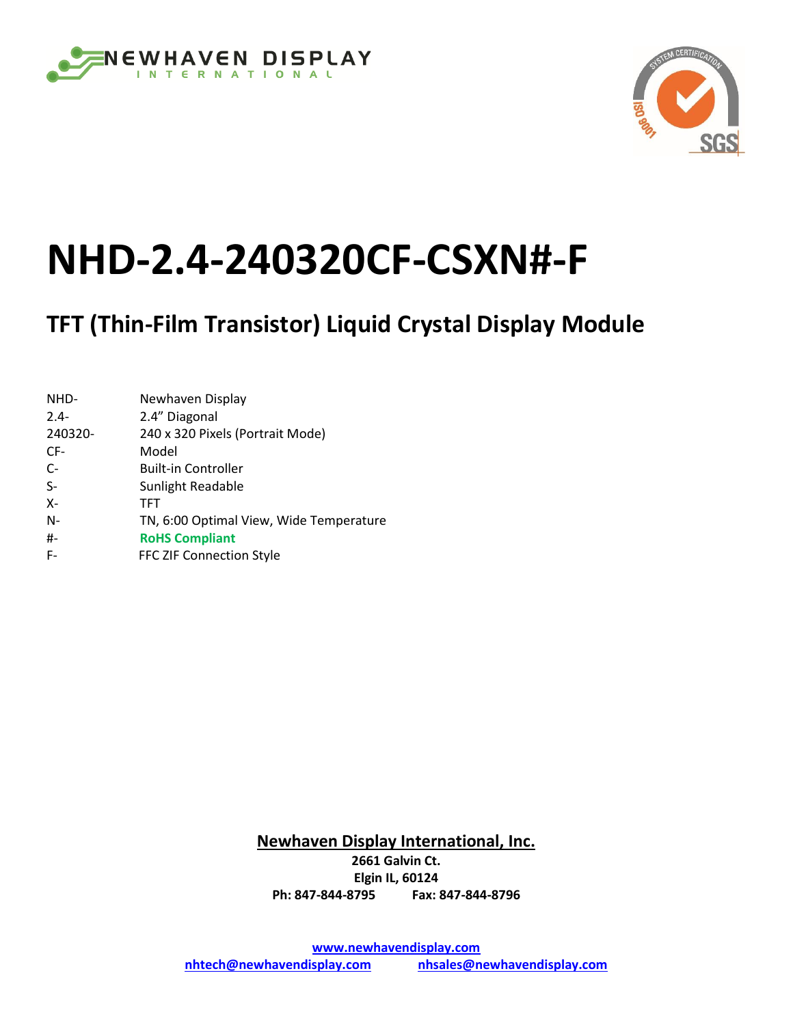



# **NHD-2.4-240320CF-CSXN#-F**

## **TFT (Thin-Film Transistor) Liquid Crystal Display Module**

| NHD-    | Newhaven Display                        |
|---------|-----------------------------------------|
| $2.4 -$ | 2.4" Diagonal                           |
| 240320- | 240 x 320 Pixels (Portrait Mode)        |
| CF-     | Model                                   |
| $C-$    | <b>Built-in Controller</b>              |
| $S-$    | Sunlight Readable                       |
| Х-      | TFT                                     |
| N-      | TN, 6:00 Optimal View, Wide Temperature |
| #-      | <b>RoHS Compliant</b>                   |
| F-      | FFC ZIF Connection Style                |

**Newhaven Display International, Inc. 2661 Galvin Ct. Elgin IL, 60124 Ph: 847-844-8795 Fax: 847-844-8796**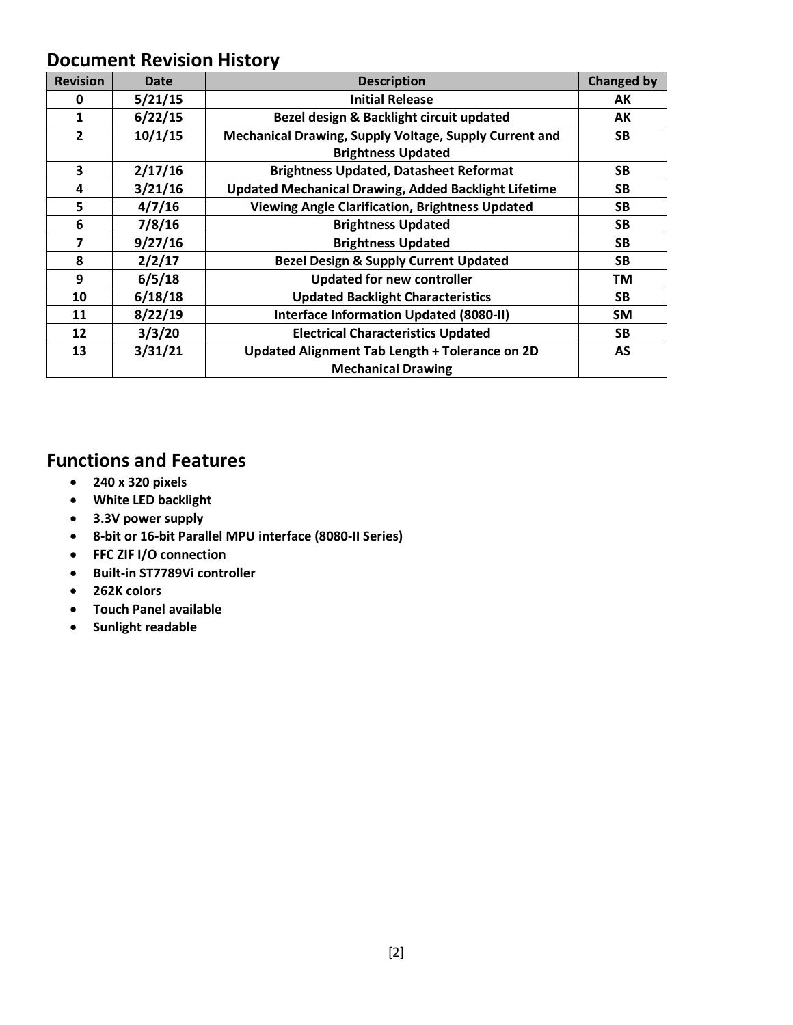#### **Document Revision History**

| <b>Revision</b> | Date    | <b>Description</b>                                          | <b>Changed by</b> |
|-----------------|---------|-------------------------------------------------------------|-------------------|
| 0               | 5/21/15 | <b>Initial Release</b>                                      | AK                |
| 1               | 6/22/15 | Bezel design & Backlight circuit updated                    | AK                |
| $\overline{2}$  | 10/1/15 | Mechanical Drawing, Supply Voltage, Supply Current and      | <b>SB</b>         |
|                 |         | <b>Brightness Updated</b>                                   |                   |
| 3               | 2/17/16 | <b>Brightness Updated, Datasheet Reformat</b>               | <b>SB</b>         |
| 4               | 3/21/16 | <b>Updated Mechanical Drawing, Added Backlight Lifetime</b> | <b>SB</b>         |
| 5               | 4/7/16  | <b>Viewing Angle Clarification, Brightness Updated</b>      | <b>SB</b>         |
| 6               | 7/8/16  | <b>Brightness Updated</b>                                   | <b>SB</b>         |
| 7               | 9/27/16 | <b>Brightness Updated</b>                                   | <b>SB</b>         |
| 8               | 2/2/17  | <b>Bezel Design &amp; Supply Current Updated</b>            | <b>SB</b>         |
| 9               | 6/5/18  | <b>Updated for new controller</b>                           | ΤM                |
| 10              | 6/18/18 | <b>Updated Backlight Characteristics</b>                    | <b>SB</b>         |
| 11              | 8/22/19 | Interface Information Updated (8080-II)                     | <b>SM</b>         |
| 12              | 3/3/20  | <b>Electrical Characteristics Updated</b>                   | <b>SB</b>         |
| 13              | 3/31/21 | Updated Alignment Tab Length + Tolerance on 2D              | AS                |
|                 |         | <b>Mechanical Drawing</b>                                   |                   |

#### **Functions and Features**

- **240 x 320 pixels**
- **White LED backlight**
- **3.3V power supply**
- **8-bit or 16-bit Parallel MPU interface (8080-II Series)**
- **FFC ZIF I/O connection**
- **Built-in ST7789Vi controller**
- **262K colors**
- **Touch Panel available**
- **Sunlight readable**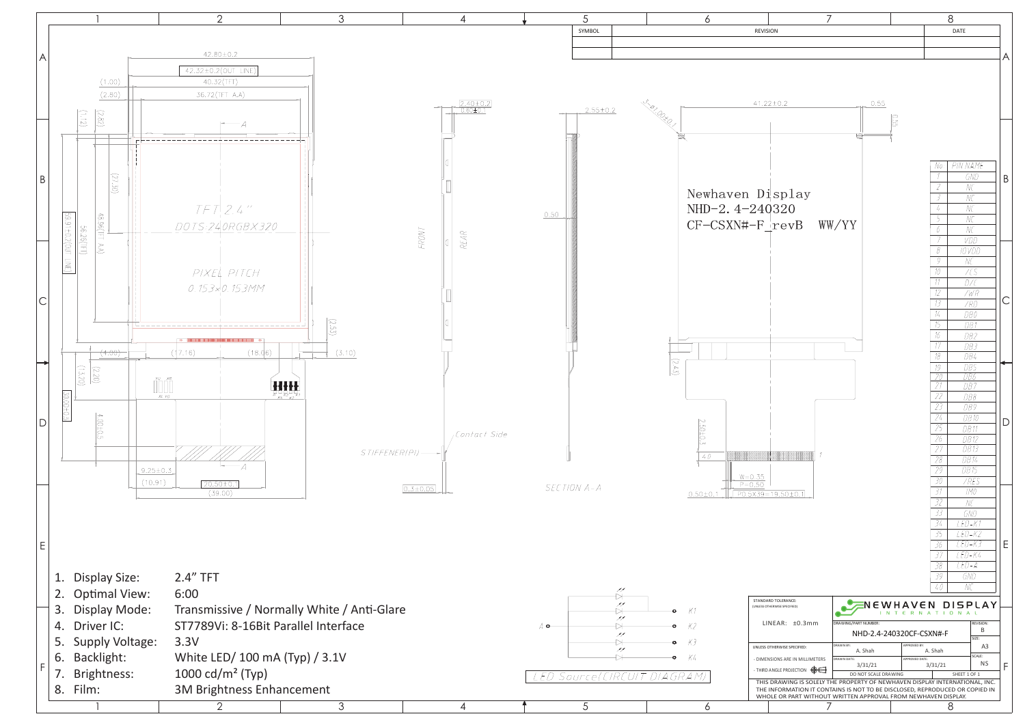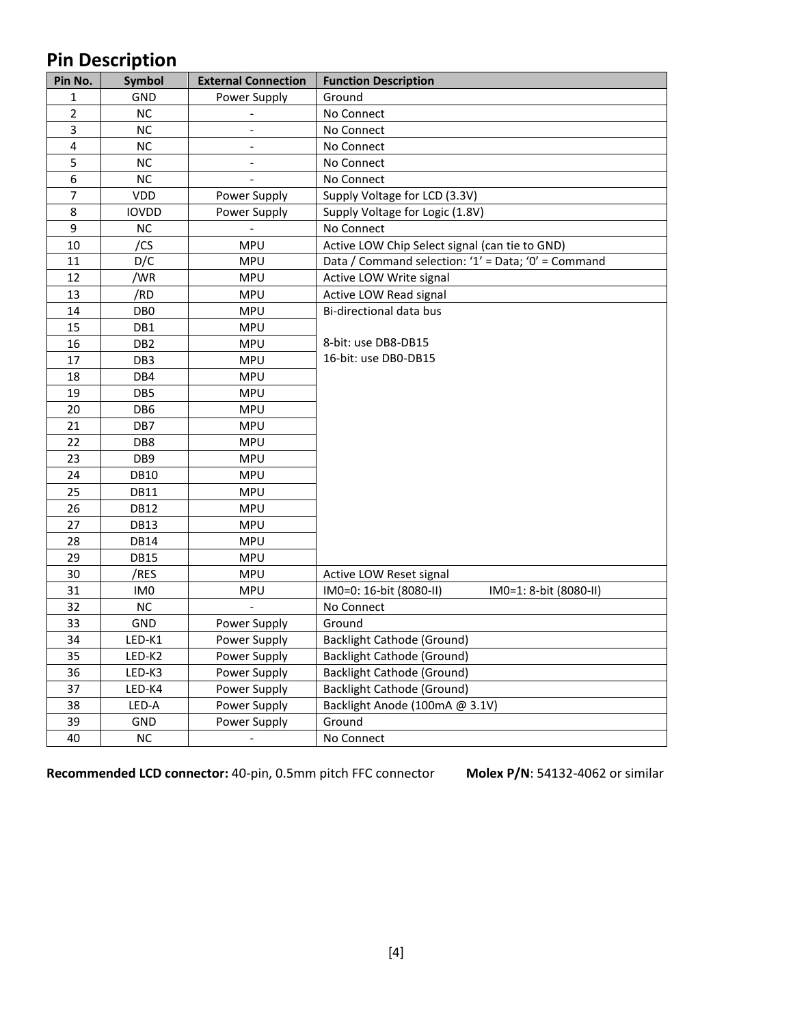## **Pin Description**

| Pin No.        | Symbol          | <b>External Connection</b> | <b>Function Description</b>                         |
|----------------|-----------------|----------------------------|-----------------------------------------------------|
| $\mathbf{1}$   | GND             | Power Supply               | Ground                                              |
| $\overline{2}$ | <b>NC</b>       | $\equiv$                   | No Connect                                          |
| 3              | NC              | $\overline{\phantom{a}}$   | No Connect                                          |
| 4              | NC              | $\blacksquare$             | No Connect                                          |
| 5              | NC              | $\overline{\phantom{a}}$   | No Connect                                          |
| 6              | NC              |                            | No Connect                                          |
| 7              | VDD             | Power Supply               | Supply Voltage for LCD (3.3V)                       |
| 8              | <b>IOVDD</b>    | Power Supply               | Supply Voltage for Logic (1.8V)                     |
| 9              | NC              |                            | No Connect                                          |
| 10             | /CS             | <b>MPU</b>                 | Active LOW Chip Select signal (can tie to GND)      |
| 11             | D/C             | <b>MPU</b>                 | Data / Command selection: '1' = Data; '0' = Command |
| 12             | /WR             | <b>MPU</b>                 | Active LOW Write signal                             |
| 13             | /RD             | <b>MPU</b>                 | Active LOW Read signal                              |
| 14             | DB <sub>0</sub> | <b>MPU</b>                 | Bi-directional data bus                             |
| 15             | DB1             | <b>MPU</b>                 |                                                     |
| 16             | DB <sub>2</sub> | <b>MPU</b>                 | 8-bit: use DB8-DB15                                 |
| 17             | DB <sub>3</sub> | <b>MPU</b>                 | 16-bit: use DB0-DB15                                |
| 18             | DB4             | <b>MPU</b>                 |                                                     |
| 19             | DB <sub>5</sub> | <b>MPU</b>                 |                                                     |
| 20             | DB <sub>6</sub> | <b>MPU</b>                 |                                                     |
| 21             | DB7             | <b>MPU</b>                 |                                                     |
| 22             | DB8             | <b>MPU</b>                 |                                                     |
| 23             | DB <sub>9</sub> | <b>MPU</b>                 |                                                     |
| 24             | <b>DB10</b>     | <b>MPU</b>                 |                                                     |
| 25             | <b>DB11</b>     | <b>MPU</b>                 |                                                     |
| 26             | <b>DB12</b>     | <b>MPU</b>                 |                                                     |
| 27             | <b>DB13</b>     | <b>MPU</b>                 |                                                     |
| 28             | <b>DB14</b>     | <b>MPU</b>                 |                                                     |
| 29             | <b>DB15</b>     | <b>MPU</b>                 |                                                     |
| 30             | /RES            | <b>MPU</b>                 | Active LOW Reset signal                             |
| 31             | IM <sub>0</sub> | <b>MPU</b>                 | IM0=0: 16-bit (8080-II)<br>IM0=1: 8-bit (8080-II)   |
| 32             | NC              |                            | No Connect                                          |
| 33             | GND             | Power Supply               | Ground                                              |
| 34             | LED-K1          | Power Supply               | <b>Backlight Cathode (Ground)</b>                   |
| 35             | LED-K2          | Power Supply               | <b>Backlight Cathode (Ground)</b>                   |
| 36             | LED-K3          | Power Supply               | <b>Backlight Cathode (Ground)</b>                   |
| 37             | LED-K4          | Power Supply               | <b>Backlight Cathode (Ground)</b>                   |
| 38             | LED-A           | Power Supply               | Backlight Anode (100mA @ 3.1V)                      |
| 39             | GND             | Power Supply               | Ground                                              |
| 40             | <b>NC</b>       | $\overline{\phantom{a}}$   | No Connect                                          |

**Recommended LCD connector:** 40-pin, 0.5mm pitch FFC connector **Molex P/N**: 54132-4062 or similar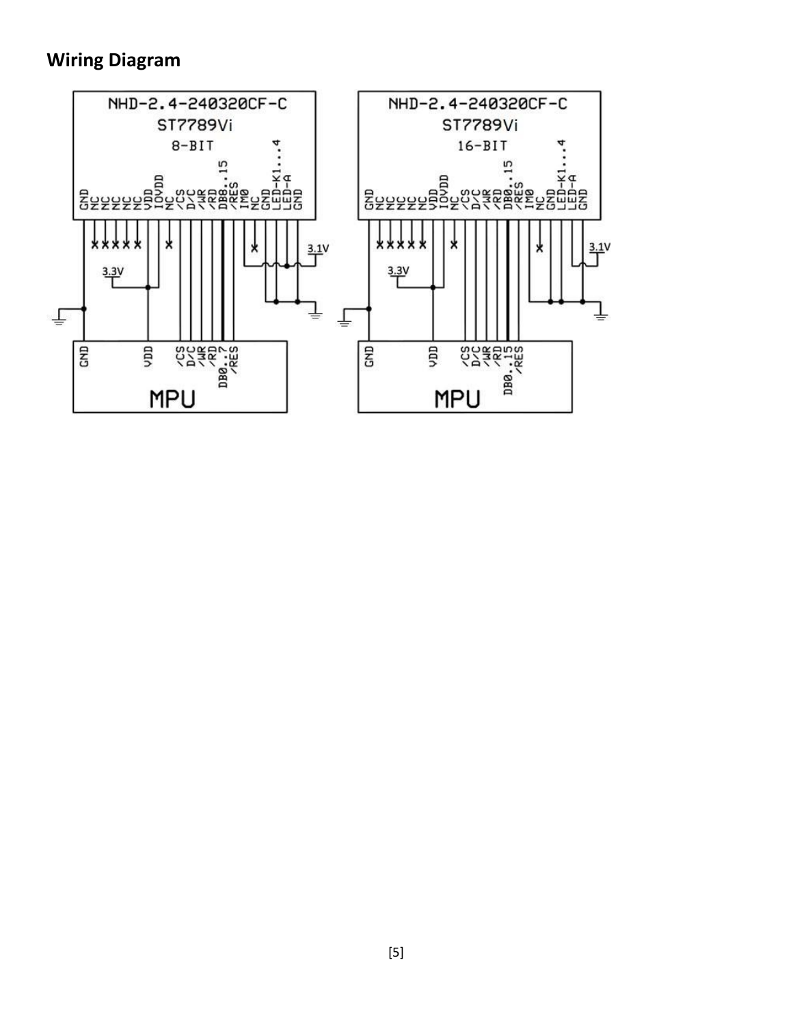#### **Wiring Diagram**

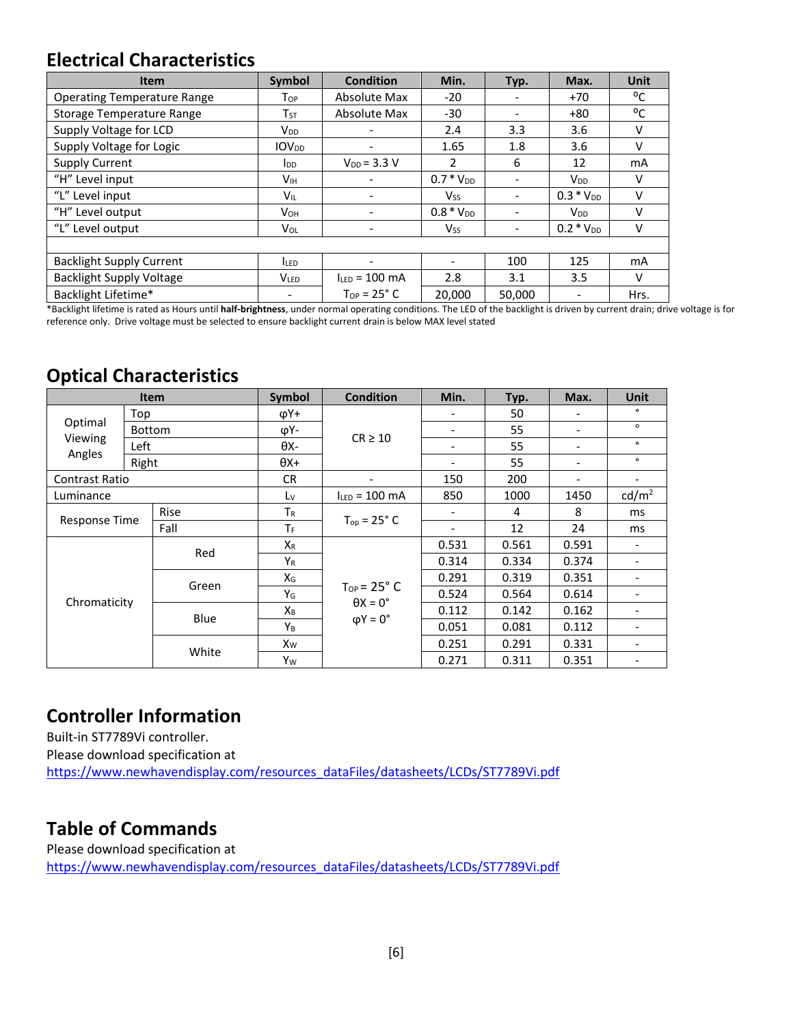#### **Electrical Characteristics**

| Item                               | <b>Symbol</b>           | <b>Condition</b>     | Min.                  | Typ.                     | Max.                  | <b>Unit</b> |
|------------------------------------|-------------------------|----------------------|-----------------------|--------------------------|-----------------------|-------------|
| <b>Operating Temperature Range</b> | Top                     | Absolute Max         | $-20$                 | $\overline{\phantom{0}}$ | $+70$                 | °C          |
| <b>Storage Temperature Range</b>   | $T_{ST}$                | Absolute Max         | -30                   | -                        | $+80$                 | °C          |
| Supply Voltage for LCD             | <b>V</b> <sub>DD</sub>  |                      | 2.4                   | 3.3                      | 3.6                   | $\vee$      |
| Supply Voltage for Logic           | <b>IOV<sub>DD</sub></b> | -                    | 1.65                  | 1.8                      | 3.6                   | v           |
| <b>Supply Current</b>              | $I_{DD}$                | $V_{DD} = 3.3 V$     | 2                     | 6                        | 12                    | mA          |
| "H" Level input                    | V <sub>IH</sub>         |                      | $0.7 * V_{DD}$        | $\overline{\phantom{0}}$ | $V_{DD}$              | v           |
| "L" Level input                    | V <sub>IL</sub>         | ٠                    | <b>V<sub>SS</sub></b> | $\overline{\phantom{a}}$ | $0.3 * V_{DD}$        | v           |
| "H" Level output                   | <b>V</b> <sub>OН</sub>  |                      | $0.8 * V_{DD}$        | $\overline{\phantom{0}}$ | <b>V<sub>DD</sub></b> | v           |
| "L" Level output                   | VOL                     |                      | <b>V<sub>SS</sub></b> | $\overline{\phantom{0}}$ | $0.2 * V_{DD}$        | v           |
|                                    |                         |                      |                       |                          |                       |             |
| <b>Backlight Supply Current</b>    | <b>LED</b>              | -                    |                       | 100                      | 125                   | mA          |
| <b>Backlight Supply Voltage</b>    | <b>VLED</b>             | $I_{LED}$ = 100 mA   | 2.8                   | 3.1                      | 3.5                   | $\vee$      |
| Backlight Lifetime*                |                         | $Top = 25^{\circ}$ C | 20.000                | 50.000                   |                       | Hrs.        |

\*Backlight lifetime is rated as Hours until **half-brightness**, under normal operating conditions. The LED of the backlight is driven by current drain; drive voltage is for reference only. Drive voltage must be selected to ensure backlight current drain is below MAX level stated

#### **Optical Characteristics**

| Item                  |        | Symbol      | <b>Condition</b> | Min.                                                                        | Typ.                         | Max.  | <b>Unit</b>              |                          |
|-----------------------|--------|-------------|------------------|-----------------------------------------------------------------------------|------------------------------|-------|--------------------------|--------------------------|
| Optimal               | Top    |             | φΥ+              | $CR \geq 10$                                                                |                              | 50    | $\overline{\phantom{a}}$ | $\circ$                  |
|                       | Bottom |             | φΥ-              |                                                                             |                              | 55    | $\overline{\phantom{a}}$ | $\circ$                  |
| Viewing<br>Angles     | Left   |             | θХ-              |                                                                             |                              | 55    | $\overline{\phantom{a}}$ | $\bullet$                |
|                       | Right  |             | $\theta$ X+      |                                                                             |                              | 55    | $\overline{\phantom{a}}$ | $\bullet$                |
| <b>Contrast Ratio</b> |        |             | <b>CR</b>        | $\overline{\phantom{a}}$                                                    | 150                          | 200   | $\overline{\phantom{a}}$ | $\overline{\phantom{a}}$ |
| Luminance             |        |             | Lv               | $I_{LED} = 100$ mA                                                          | 850                          | 1000  | 1450                     | cd/m <sup>2</sup>        |
|                       |        | <b>Rise</b> | $T_R$            |                                                                             |                              | 4     | 8                        | ms                       |
| <b>Response Time</b>  |        | Fall        | ΤF               | $T_{op} = 25^\circ C$                                                       | $\qquad \qquad \blacksquare$ | 12    | 24                       | ms                       |
| Chromaticity          |        |             | $X_R$            | $T_{OP}$ = 25 $\degree$ C<br>$\theta$ X = 0 $\degree$<br>$\phi Y = 0^\circ$ | 0.531                        | 0.561 | 0.591                    | -                        |
|                       |        | Red         | $Y_R$            |                                                                             | 0.314                        | 0.334 | 0.374                    | $\overline{\phantom{a}}$ |
|                       |        |             | $X_G$            |                                                                             | 0.291                        | 0.319 | 0.351                    | ۰                        |
|                       |        | Green       | YG               |                                                                             | 0.524                        | 0.564 | 0.614                    |                          |
|                       |        |             | $X_{B}$          |                                                                             | 0.112                        | 0.142 | 0.162                    | -                        |
|                       |        | Blue        | YB               |                                                                             | 0.051                        | 0.081 | 0.112                    |                          |
|                       |        |             | Xw               |                                                                             | 0.251                        | 0.291 | 0.331                    |                          |
|                       |        | White       | Yw               |                                                                             | 0.271                        | 0.311 | 0.351                    | $\overline{\phantom{a}}$ |

#### **Controller Information**

Built-in ST7789Vi controller. Please download specification at [https://www.newhavendisplay.com/resources\\_dataFiles/datasheets/LCDs/ST7789Vi.pdf](https://www.newhavendisplay.com/resources_dataFiles/datasheets/LCDs/ST7789Vi.pdf)

#### **Table of Commands**

Please download specification at [https://www.newhavendisplay.com/resources\\_dataFiles/datasheets/LCDs/ST7789Vi.pdf](https://www.newhavendisplay.com/resources_dataFiles/datasheets/LCDs/ST7789Vi.pdf)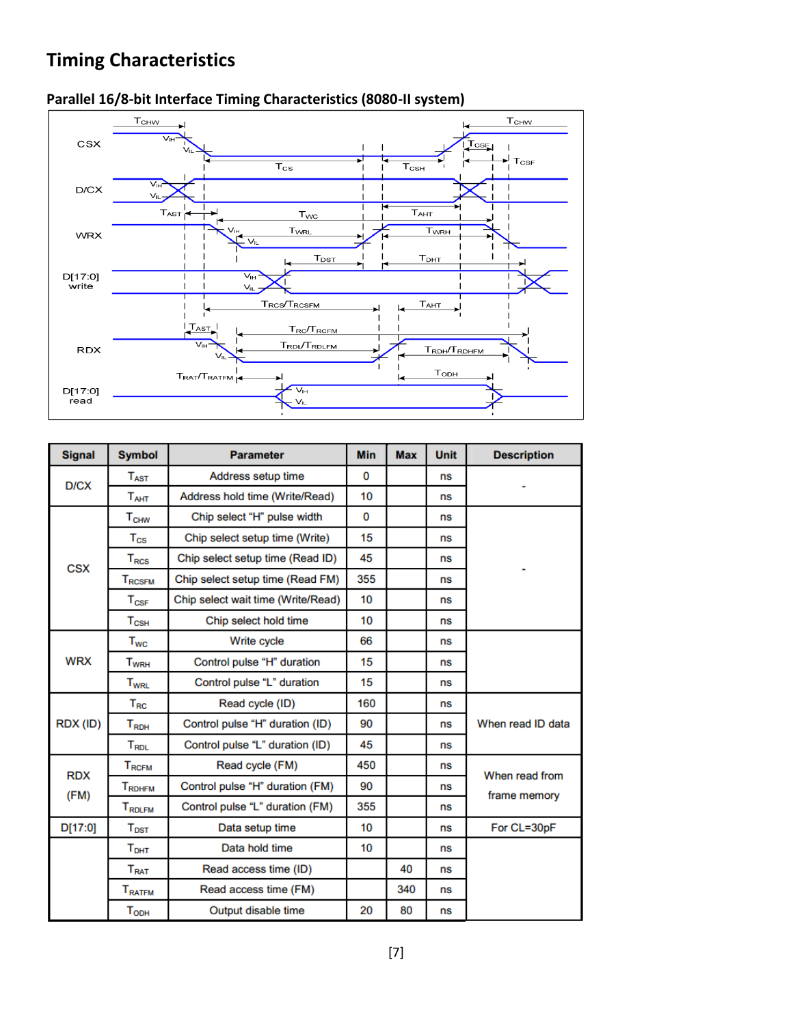## **Timing Characteristics**



#### **Parallel 16/8-bit Interface Timing Characteristics (8080-II system)**

| <b>Signal</b> | <b>Symbol</b>                    | <b>Parameter</b>                   | <b>Min</b>      | <b>Max</b> | <b>Unit</b> | <b>Description</b> |
|---------------|----------------------------------|------------------------------------|-----------------|------------|-------------|--------------------|
| D/CX          | $T_{\rm AST}$                    | Address setup time                 | 0               |            | ns          |                    |
|               | $T_{AHT}$                        | Address hold time (Write/Read)     | 10 <sup>1</sup> |            | ns          |                    |
|               | $T_{CHW}$                        | Chip select "H" pulse width        | $\Omega$        |            | ns          |                    |
| <b>CSX</b>    | $T_{\rm CS}$                     | Chip select setup time (Write)     | 15              |            | ns          |                    |
|               | $T_{RCS}$                        | Chip select setup time (Read ID)   | 45              |            | ns          |                    |
|               | <b>TRCSFM</b>                    | Chip select setup time (Read FM)   | 355             |            | ns          |                    |
|               | $T_{\rm cSF}$                    | Chip select wait time (Write/Read) | 10              |            | ns          |                    |
|               | $T_{\scriptstyle{\text{CSH}}}$   | Chip select hold time              | 10              |            | ns          |                    |
|               | $T_{WC}$                         | Write cycle                        | 66              |            | ns          |                    |
| <b>WRX</b>    | <b>T<sub>WRH</sub></b>           | Control pulse "H" duration         | 15              |            | ns          |                    |
|               | <b>T<sub>WRL</sub></b>           | Control pulse "L" duration         | 15              |            | ns          |                    |
|               | $T_{RC}$                         | Read cycle (ID)                    | 160             |            | ns          |                    |
| RDX (ID)      | $T_{RDH}$                        | Control pulse "H" duration (ID)    | 90              |            | ns          | When read ID data  |
|               | T <sub>RDL</sub>                 | Control pulse "L" duration (ID)    | 45              |            | ns          |                    |
| <b>RDX</b>    | $T_{\scriptscriptstyle\rm RCFM}$ | Read cycle (FM)                    | 450             |            | ns          | When read from     |
| (FM)          | TRDHFM                           | Control pulse "H" duration (FM)    | 90              |            | ns          | frame memory       |
|               | T <sub>RDLFM</sub>               | Control pulse "L" duration (FM)    | 355             |            | ns          |                    |
| D[17:0]       | $T_{\text{DST}}$                 | Data setup time                    | 10              |            | ns          | For CL=30pF        |
|               | $T_{\text{DHT}}$                 | Data hold time                     | 10              |            | ns          |                    |
|               | T <sub>RAT</sub>                 | Read access time (ID)              |                 | 40         | ns          |                    |
|               | T <sub>RATFM</sub>               | Read access time (FM)              |                 | 340        | ns          |                    |
|               | $T_{ODH}$                        | Output disable time                | 20              | 80         | ns          |                    |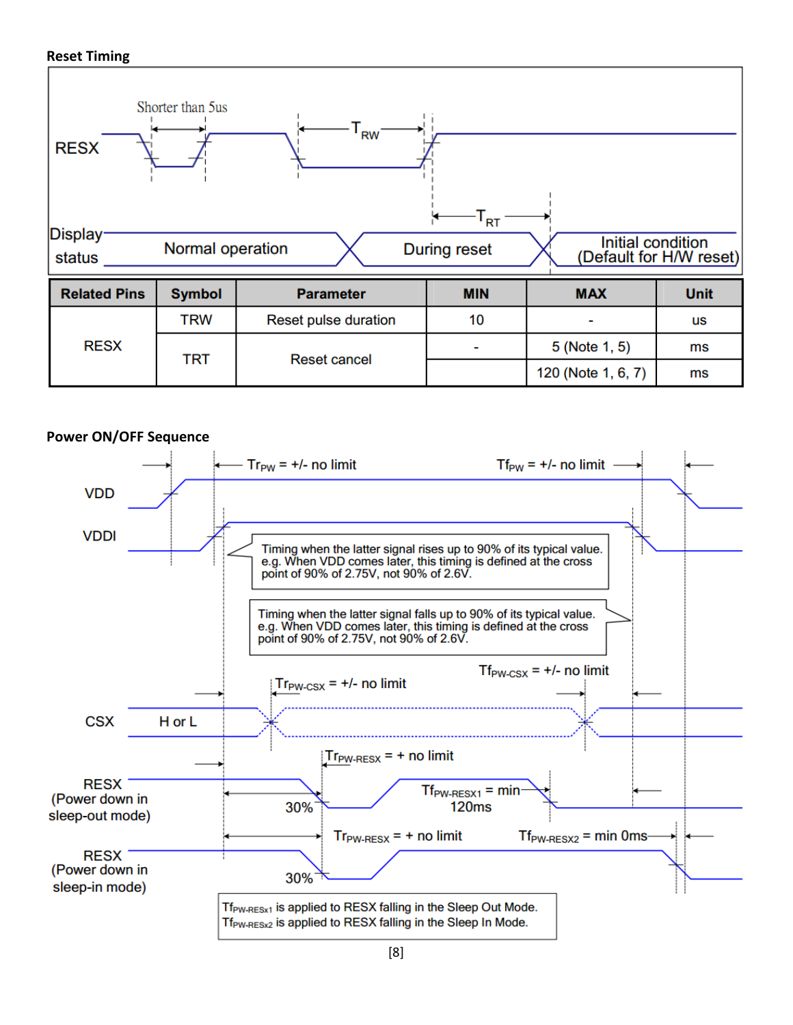#### **Reset Timing**







[8]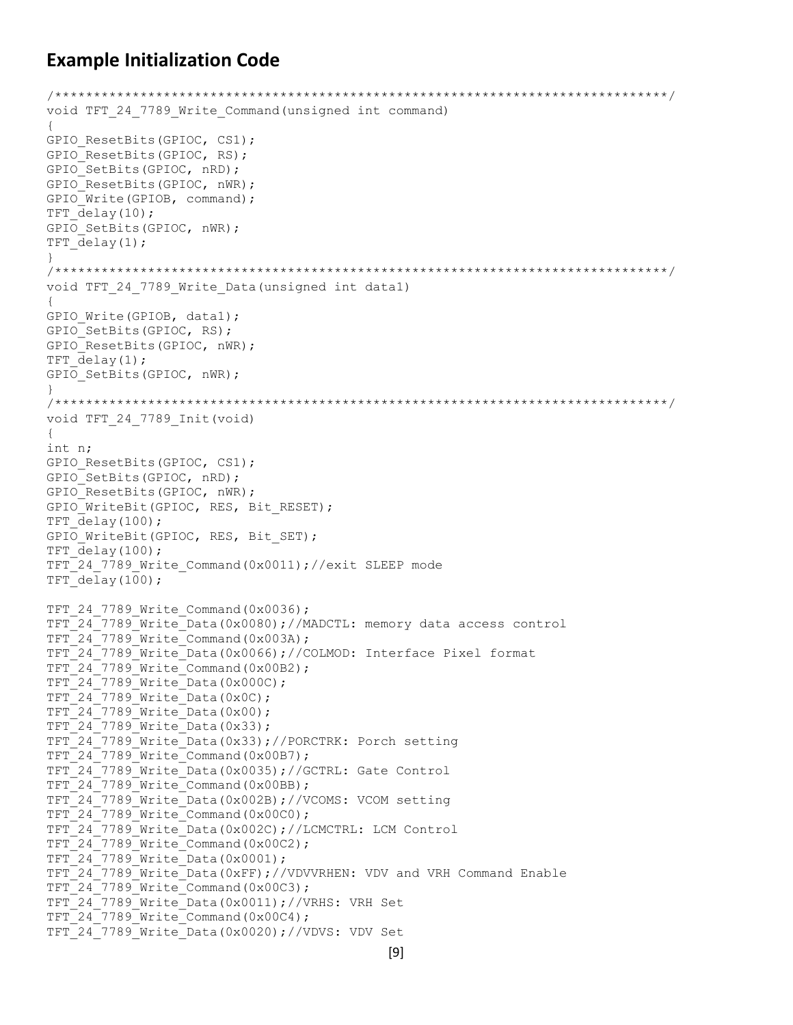#### **Example Initialization Code**

```
/*******************************************************************************/
void TFT_24_7789_Write_Command(unsigned int command)
{
GPIO ResetBits(GPIOC, CS1);
GPIO ResetBits(GPIOC, RS);
GPIO_SetBits(GPIOC, nRD);
GPIO ResetBits(GPIOC, nWR);
GPIO Write(GPIOB, command);
TFT delay(10);
GPIO SetBits(GPIOC, nWR);
TFT_delay(1);
}
/*******************************************************************************/
void TFT_24_7789_Write_Data(unsigned int data1)
{
GPIO Write(GPIOB, data1);
GPIO SetBits(GPIOC, RS);
GPIO ResetBits(GPIOC, nWR);
TFT delay(1);
GPIO SetBits(GPIOC, nWR);
}
/*******************************************************************************/
void TFT_24_7789_Init(void)
{
int n;
GPIO ResetBits(GPIOC, CS1);
GPIO SetBits(GPIOC, nRD);
GPIO ResetBits(GPIOC, nWR);
GPIO WriteBit(GPIOC, RES, Bit RESET);
TFT delay(100);
GPIO WriteBit(GPIOC, RES, Bit SET);
TFT_delay(100);
TFT_24_7789_Write_Command(0x0011);//exit SLEEP mode
TFT delay(100);
TFT 24 7789 Write Command(0x0036);
TFT 24 7789 Write Data(0x0080);//MADCTL: memory data access control
TFT 24 7789 Write Command(0x003A);
TFT 24 7789 Write Data(0x0066);//COLMOD: Interface Pixel format
TFT 24 7789 Write Command(0x00B2);
TFT247789 Write Data(0x000C);
TFT_24_7789_Write_Data(0x0C);
TFT 24 7789 Write Data(0x00);
TFT 24 7789 Write Data(0x33);
TFT 24 7789 Write Data(0x33);//PORCTRK: Porch setting
TFT 24 7789 Write Command(0x00B7);
TFT_24_7789_Write_Data(0x0035);//GCTRL: Gate Control
TFT24<sup>-7789</sub>Write<sup>-</sup>Command(0x00BB);</sup>
TFT_24_7789_Write_Data(0x002B);//VCOMS: VCOM setting
TFT 24 7789 Write Command(0x00C0);
TFT 24 7789 Write Data(0x002C);//LCMCTRL: LCM Control
TFT 24 7789 Write Command(0x00C2);
TFT 24 7789 Write Data(0x0001);
TFT 24 7789 Write Data(0xFF);//VDVVRHEN: VDV and VRH Command Enable
TFT_24_7789_Write_Command(0x00C3);
TFT_24_7789_Write_Data(0x0011);//VRHS: VRH Set
TFT 24 7789 Write Command(0x00C4);
TFT_24_7789_Write_Data(0x0020);//VDVS: VDV Set
```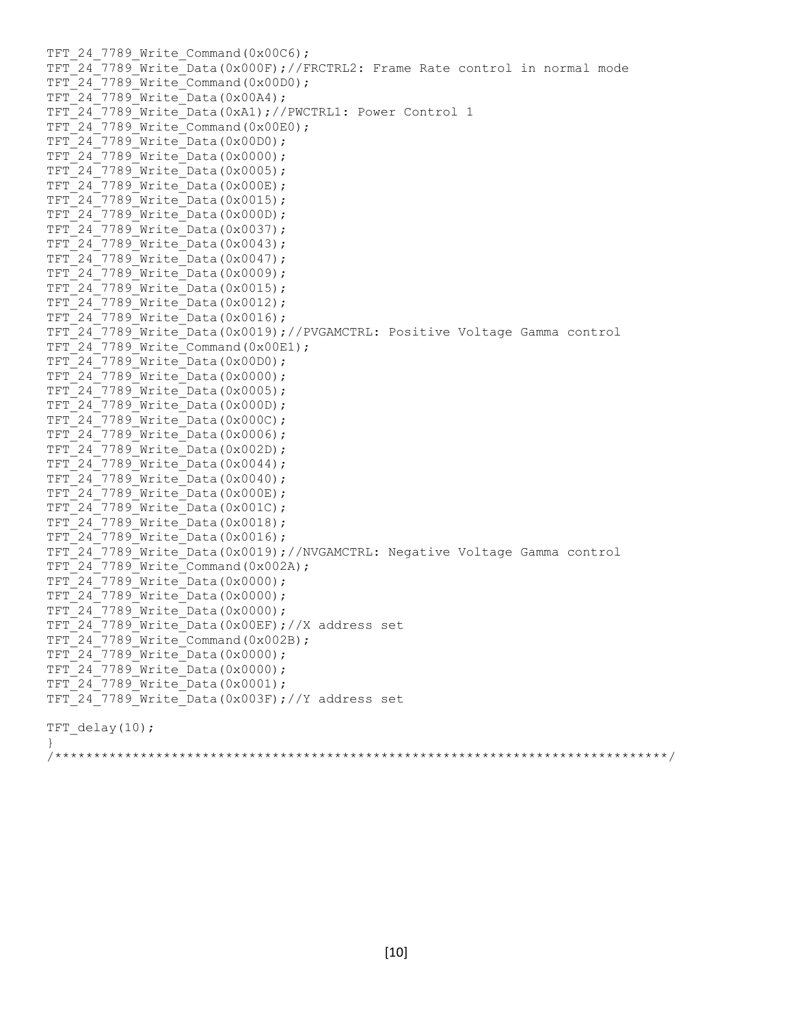TFT 24 7789 Write Command(0x00C6); TFT 24 7789 Write Data(0x000F);//FRCTRL2: Frame Rate control in normal mode TFT 24 7789 Write Command(0x00D0); TFT 24 7789 Write Data(0x00A4); TFT 24 7789 Write Data(0xA1);//PWCTRL1: Power Control 1 TFT 24 7789 Write Command(0x00E0); TFT\_24\_7789\_Write\_Data(0x00D0); TFT\_24\_7789\_Write\_Data(0x0000); TFT 24 7789 Write Data(0x0005); TFT 24 7789 Write Data(0x000E); TFT 24 7789 Write Data(0x0015); TFT 24 7789 Write Data(0x000D); TFT 24 7789 Write Data(0x0037);  $TFT$  24 7789 Write Data(0x0043); TFT\_24\_7789\_Write\_Data(0x0047); TFT\_24\_7789\_Write\_Data(0x0009); TFT 24 7789 Write Data(0x0015); TFT 24 7789 Write Data(0x0012); TFT 24 7789 Write Data(0x0016); TFT 24 7789 Write Data(0x0019);//PVGAMCTRL: Positive Voltage Gamma control TFT 24 7789 Write Command(0x00E1); TFT 24 7789 Write Data(0x00D0); TFT\_24\_7789\_Write\_Data(0x0000); TFT\_24\_7789\_Write\_Data(0x0005); TFT 24 7789 Write Data(0x000D); TFT 24 7789 Write Data(0x000C); TFT 24 7789 Write Data(0x0006);  $TFT$  $24$  $7789$  Write Data(0x002D);  $TFT$  $24$  $7789$  Write Data(0x0044); TFT 24 7789 Write Data(0x0040); TFT 24 7789 Write Data(0x000E); TFT 24 7789 Write Data(0x001C); TFT 24 7789 Write Data(0x0018); TFT 24 7789 Write Data(0x0016); TFT 24 7789 Write Data(0x0019);//NVGAMCTRL: Negative Voltage Gamma control TFT 24 7789 Write Command(0x002A); TFT 24 7789 Write Data(0x0000); TFT 24 7789 Write Data(0x0000); TFT 24 7789 Write Data(0x0000); TFT 24 7789 Write Data(0x00EF);//X address set  $TFT$  $24$  7789 Write Command(0x002B); TFT\_24\_7789\_Write\_Data(0x0000); TFT 24 7789 Write Data(0x0000); TFT 24 7789 Write Data(0x0001); TFT 24 7789 Write Data(0x003F);//Y address set TFT  $delay(10)$ ; } /\*\*\*\*\*\*\*\*\*\*\*\*\*\*\*\*\*\*\*\*\*\*\*\*\*\*\*\*\*\*\*\*\*\*\*\*\*\*\*\*\*\*\*\*\*\*\*\*\*\*\*\*\*\*\*\*\*\*\*\*\*\*\*\*\*\*\*\*\*\*\*\*\*\*\*\*\*\*\*/